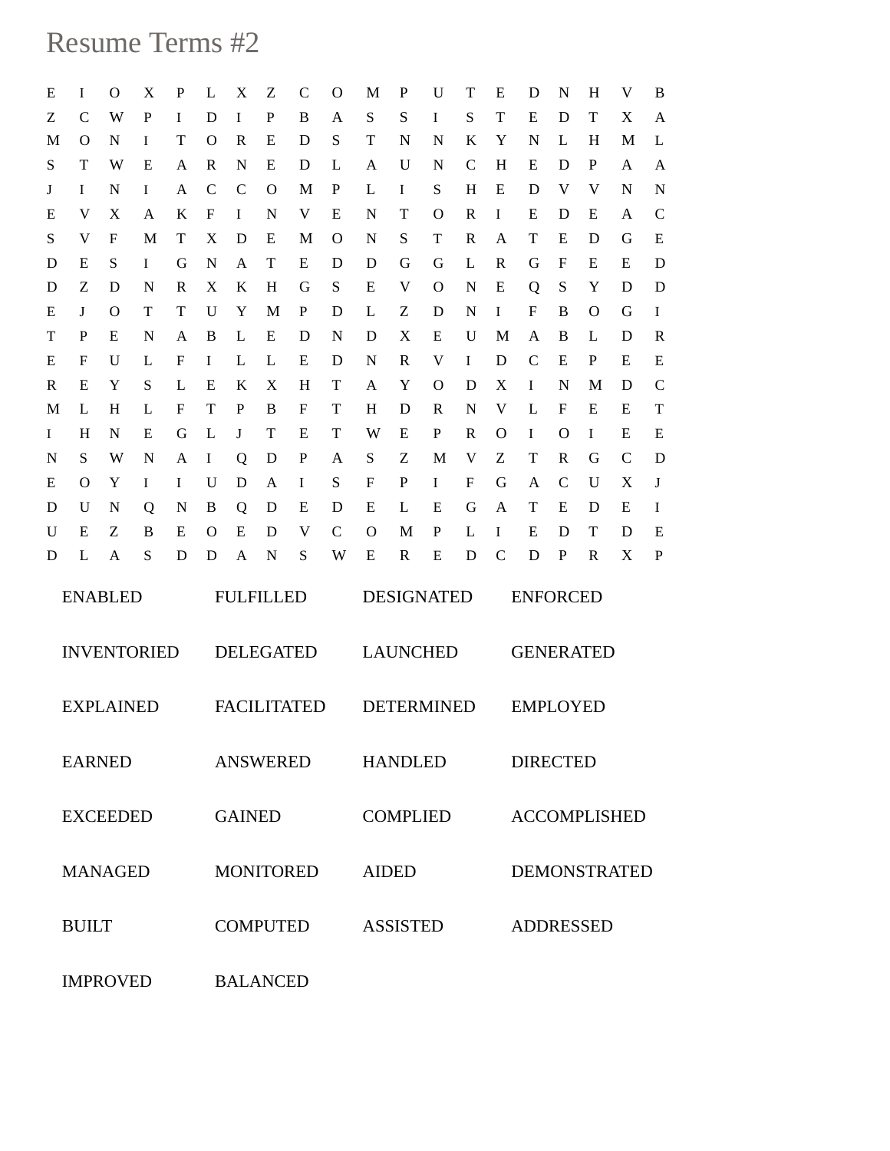## Resume Terms #2

| ${\bf E}$          | I            | O        | X      | P      | L             | X                  | Ζ        | $\mathsf{C}$ | O            | M      | P                 | U      | Т            | Ε            | D                   | N                | H            | V            | B                          |  |  |
|--------------------|--------------|----------|--------|--------|---------------|--------------------|----------|--------------|--------------|--------|-------------------|--------|--------------|--------------|---------------------|------------------|--------------|--------------|----------------------------|--|--|
| Ζ                  | $\mathsf{C}$ | W        | P      | I      | D             | I                  | P        | B            | A            | S      | S                 | Ι      | S            | T            | E                   | D                | T            | X            | A                          |  |  |
| M                  | O            | N        | I      | T      | O             | R                  | Е        | D            | S            | T      | N                 | N      | K            | Y            | N                   | L                | H            | M            | L                          |  |  |
| S                  | T            | W        | Ε      | A      | R             | N                  | E        | D            | L            | A      | U                 | N      | $\mathsf{C}$ | H            | E                   | D                | $\mathbf{P}$ | A            | A                          |  |  |
| J                  | I            | N        | I      | A      | $\mathcal{C}$ | $\mathsf{C}$       | $\Omega$ | M            | P            | L      | I                 | S      | H            | E            | D                   | V                | V            | $\mathbf N$  | $\mathbf N$                |  |  |
| E                  | V            | X        | A      | K      | F             | I                  | N        | V            | Ε            | N      | T                 | O      | R            | I            | E                   | D                | E            | A            | $\mathcal{C}$              |  |  |
| S                  | V            | F        | M      | T      | X             | D                  | E        | M            | O            | N      | S                 | T      | R            | A            | T                   | E                | D            | G            | ${\bf E}$                  |  |  |
| D                  | E            | S        | I      | G      | N             | A                  | T        | Ε            | D            | D      | G                 | G      | L            | R            | G                   | $\mathbf F$      | E            | Ε            | D                          |  |  |
| D                  | Ζ            | D        | N      | R      | X             | K                  | H        | G            | S            | Ε      | V                 | O      | N            | Ε            | Q                   | ${\mathbf S}$    | Y            | D            | D                          |  |  |
| E                  | J            | $\Omega$ | T      | T      | U             | Y                  | M        | P            | D            | L      | Ζ                 | D      | N            | I            | F                   | B                | $\Omega$     | G            | I                          |  |  |
| T                  | P            | E        | N      | A      | B             | L                  | E        | D            | N            | D      | X                 | E      | U            | M            | A                   | B                | L            | D            | $\mathbb{R}$               |  |  |
| E                  | F<br>E       | U<br>Y   | L      | F<br>L | I<br>Ε        | L<br>K             | L<br>X   | E<br>H       | D<br>T       | N      | R<br>Y            | V      | $\mathbf I$  | D            | $\mathsf{C}$        | E<br>N           | P<br>M       | E<br>D       | ${\bf E}$<br>$\mathcal{C}$ |  |  |
| R<br>M             | L            | H        | S<br>L | F      | T             | P                  | B        | $\mathbf F$  | T            | A<br>H | D                 | O<br>R | D<br>N       | X<br>V       | I<br>L              | $\mathbf F$      | E            | Е            | T                          |  |  |
| Ι                  | H            | N        | E      | G      | L             | J                  | T        | E            | T            | W      | E                 | P      | R            | $\mathbf{O}$ | Ι                   | $\mathbf O$      | Ι            | E            | E                          |  |  |
| N                  | S            | W        | N      | A      | I             | Q                  | D        | P            | A            | S      | Ζ                 | M      | V            | Ζ            | T                   | $\mathbb{R}$     | G            | $\mathsf{C}$ | D                          |  |  |
| E                  | O            | Y        | Ι      | Ι      | U             | D                  | A        | Ι            | S            | F      | P                 | Ι.     | F            | G            | A                   | $\mathsf{C}$     | U            | X            | J                          |  |  |
| D                  | U            | N        | Q      | N      | B             | Q                  | D        | Ε            | D            | Е      | L                 | Е      | G            | A            | T                   | Ε                | D            | E            | I                          |  |  |
| U                  | E            | Z        | B      | E      | O             | E                  | D        | V            | $\mathsf{C}$ | O      | M                 | P      | L            | I            | E                   | D                | T            | D            | E                          |  |  |
| D                  | L            | A        | S      | D      | D             | A                  | N        | S            | W            | E      | $\mathbf R$       | E      | D            | $\mathsf{C}$ | D                   | $\mathbf{P}$     | R            | X            | $\, {\bf P}$               |  |  |
| <b>ENABLED</b>     |              |          |        |        |               | <b>FULFILLED</b>   |          |              |              |        | <b>DESIGNATED</b> |        |              |              |                     | <b>ENFORCED</b>  |              |              |                            |  |  |
| <b>INVENTORIED</b> |              |          |        |        |               | <b>DELEGATED</b>   |          |              |              |        | <b>LAUNCHED</b>   |        |              |              |                     | <b>GENERATED</b> |              |              |                            |  |  |
| <b>EXPLAINED</b>   |              |          |        |        |               | <b>FACILITATED</b> |          |              |              |        | <b>DETERMINED</b> |        |              |              |                     | <b>EMPLOYED</b>  |              |              |                            |  |  |
| <b>EARNED</b>      |              |          |        |        |               | ANSWERED           |          |              |              |        | HANDLED           |        |              |              |                     | <b>DIRECTED</b>  |              |              |                            |  |  |
| <b>EXCEEDED</b>    |              |          |        |        |               | <b>GAINED</b>      |          |              |              |        | <b>COMPLIED</b>   |        |              |              | <b>ACCOMPLISHED</b> |                  |              |              |                            |  |  |
| <b>MANAGED</b>     |              |          |        |        |               | <b>MONITORED</b>   |          |              |              |        | <b>AIDED</b>      |        |              |              | <b>DEMONSTRATED</b> |                  |              |              |                            |  |  |
| <b>BUILT</b>       |              |          |        |        |               | <b>COMPUTED</b>    |          |              |              |        | <b>ASSISTED</b>   |        |              |              |                     | <b>ADDRESSED</b> |              |              |                            |  |  |
|                    |              |          |        |        |               | DAT AMOUN          |          |              |              |        |                   |        |              |              |                     |                  |              |              |                            |  |  |

IMPROVED BALANCED